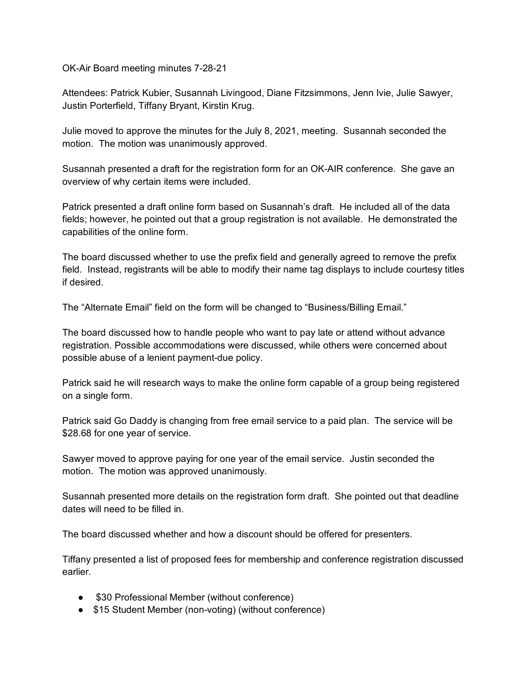OK-Air Board meeting minutes 7-28-21

Attendees: Patrick Kubier, Susannah Livingood, Diane Fitzsimmons, Jenn Ivie, Julie Sawyer, Justin Porterfield, Tiffany Bryant, Kirstin Krug.

Julie moved to approve the minutes for the July 8, 2021, meeting. Susannah seconded the motion. The motion was unanimously approved.

Susannah presented a draft for the registration form for an OK-AIR conference. She gave an overview of why certain items were included.

Patrick presented a draft online form based on Susannah's draft. He included all of the data fields; however, he pointed out that a group registration is not available. He demonstrated the capabilities of the online form.

The board discussed whether to use the prefix field and generally agreed to remove the prefix field. Instead, registrants will be able to modify their name tag displays to include courtesy titles if desired.

The "Alternate Email" field on the form will be changed to "Business/Billing Email."

The board discussed how to handle people who want to pay late or attend without advance registration. Possible accommodations were discussed, while others were concerned about possible abuse of a lenient payment-due policy.

Patrick said he will research ways to make the online form capable of a group being registered on a single form.

Patrick said Go Daddy is changing from free email service to a paid plan. The service will be \$28.68 for one year of service.

Sawyer moved to approve paying for one year of the email service. Justin seconded the motion. The motion was approved unanimously.

Susannah presented more details on the registration form draft. She pointed out that deadline dates will need to be filled in.

The board discussed whether and how a discount should be offered for presenters.

Tiffany presented a list of proposed fees for membership and conference registration discussed earlier.

- \$30 Professional Member (without conference)
- \$15 Student Member (non-voting) (without conference)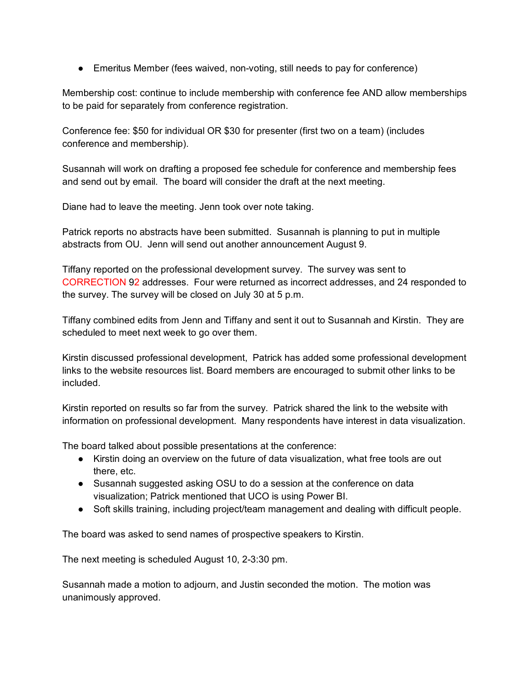● Emeritus Member (fees waived, non-voting, still needs to pay for conference)

Membership cost: continue to include membership with conference fee AND allow memberships to be paid for separately from conference registration.

Conference fee: \$50 for individual OR \$30 for presenter (first two on a team) (includes conference and membership).

Susannah will work on drafting a proposed fee schedule for conference and membership fees and send out by email. The board will consider the draft at the next meeting.

Diane had to leave the meeting. Jenn took over note taking.

Patrick reports no abstracts have been submitted. Susannah is planning to put in multiple abstracts from OU. Jenn will send out another announcement August 9.

Tiffany reported on the professional development survey. The survey was sent to CORRECTION 92 addresses. Four were returned as incorrect addresses, and 24 responded to the survey. The survey will be closed on July 30 at 5 p.m.

Tiffany combined edits from Jenn and Tiffany and sent it out to Susannah and Kirstin. They are scheduled to meet next week to go over them.

Kirstin discussed professional development, Patrick has added some professional development links to the website resources list. Board members are encouraged to submit other links to be included.

Kirstin reported on results so far from the survey. Patrick shared the link to the website with information on professional development. Many respondents have interest in data visualization.

The board talked about possible presentations at the conference:

- Kirstin doing an overview on the future of data visualization, what free tools are out there, etc.
- Susannah suggested asking OSU to do a session at the conference on data visualization; Patrick mentioned that UCO is using Power BI.
- Soft skills training, including project/team management and dealing with difficult people.

The board was asked to send names of prospective speakers to Kirstin.

The next meeting is scheduled August 10, 2-3:30 pm.

Susannah made a motion to adjourn, and Justin seconded the motion. The motion was unanimously approved.